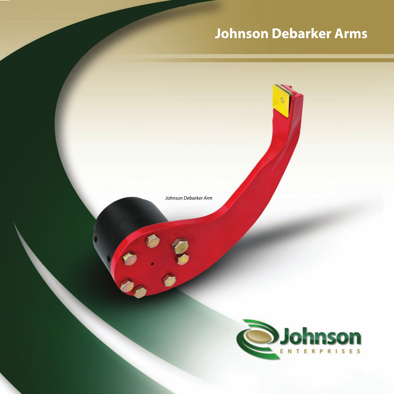# **Johnson Debarker Arms**

Johnson Debarker Arm

 $\frac{8}{9}$